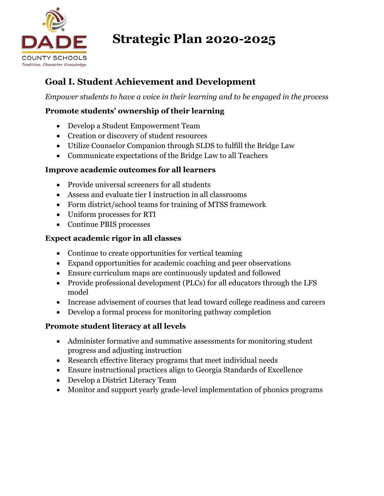

# **Strategic Plan 2020-2025**

## **Goal I. Student Achievement and Development**

*Empower students to have a voice in their learning and to be engaged in the process*

## **Promote students' ownership of their learning**

- Develop a Student Empowerment Team
- Creation or discovery of student resources
- Utilize Counselor Companion through SLDS to fulfill the Bridge Law
- Communicate expectations of the Bridge Law to all Teachers

### **Improve academic outcomes for all learners**

- Provide universal screeners for all students
- Assess and evaluate tier I instruction in all classrooms
- Form district/school teams for training of MTSS framework
- Uniform processes for RTI
- Continue PBIS processes

### **Expect academic rigor in all classes**

- Continue to create opportunities for vertical teaming
- Expand opportunities for academic coaching and peer observations
- Ensure curriculum maps are continuously updated and followed
- Provide professional development (PLCs) for all educators through the LFS model
- Increase advisement of courses that lead toward college readiness and careers
- Develop a formal process for monitoring pathway completion

## **Promote student literacy at all levels**

- Administer formative and summative assessments for monitoring student progress and adjusting instruction
- Research effective literacy programs that meet individual needs
- Ensure instructional practices align to Georgia Standards of Excellence
- Develop a District Literacy Team
- Monitor and support yearly grade-level implementation of phonics programs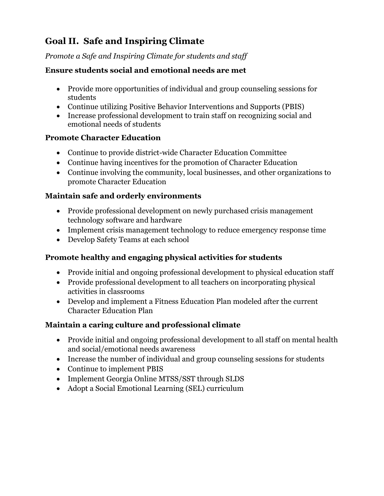## **Goal II. Safe and Inspiring Climate**

*Promote a Safe and Inspiring Climate for students and staff*

#### **Ensure students social and emotional needs are met**

- Provide more opportunities of individual and group counseling sessions for students
- Continue utilizing Positive Behavior Interventions and Supports (PBIS)
- Increase professional development to train staff on recognizing social and emotional needs of students

### **Promote Character Education**

- Continue to provide district-wide Character Education Committee
- Continue having incentives for the promotion of Character Education
- Continue involving the community, local businesses, and other organizations to promote Character Education

### **Maintain safe and orderly environments**

- Provide professional development on newly purchased crisis management technology software and hardware
- Implement crisis management technology to reduce emergency response time
- Develop Safety Teams at each school

## **Promote healthy and engaging physical activities for students**

- Provide initial and ongoing professional development to physical education staff
- Provide professional development to all teachers on incorporating physical activities in classrooms
- Develop and implement a Fitness Education Plan modeled after the current Character Education Plan

## **Maintain a caring culture and professional climate**

- Provide initial and ongoing professional development to all staff on mental health and social/emotional needs awareness
- Increase the number of individual and group counseling sessions for students
- Continue to implement PBIS
- Implement Georgia Online MTSS/SST through SLDS
- Adopt a Social Emotional Learning (SEL) curriculum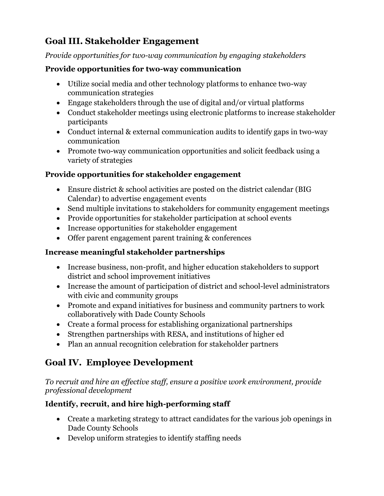## **Goal III. Stakeholder Engagement**

#### *Provide opportunities for two-way communication by engaging stakeholders*

#### **Provide opportunities for two-way communication**

- Utilize social media and other technology platforms to enhance two-way communication strategies
- Engage stakeholders through the use of digital and/or virtual platforms
- Conduct stakeholder meetings using electronic platforms to increase stakeholder participants
- Conduct internal & external communication audits to identify gaps in two-way communication
- Promote two-way communication opportunities and solicit feedback using a variety of strategies

#### **Provide opportunities for stakeholder engagement**

- Ensure district & school activities are posted on the district calendar (BIG Calendar) to advertise engagement events
- Send multiple invitations to stakeholders for community engagement meetings
- Provide opportunities for stakeholder participation at school events
- Increase opportunities for stakeholder engagement
- Offer parent engagement parent training & conferences

#### **Increase meaningful stakeholder partnerships**

- Increase business, non-profit, and higher education stakeholders to support district and school improvement initiatives
- Increase the amount of participation of district and school-level administrators with civic and community groups
- Promote and expand initiatives for business and community partners to work collaboratively with Dade County Schools
- Create a formal process for establishing organizational partnerships
- Strengthen partnerships with RESA, and institutions of higher ed
- Plan an annual recognition celebration for stakeholder partners

## **Goal IV. Employee Development**

*To recruit and hire an effective staff, ensure a positive work environment, provide professional development*

## **Identify, recruit, and hire high-performing staff**

- Create a marketing strategy to attract candidates for the various job openings in Dade County Schools
- Develop uniform strategies to identify staffing needs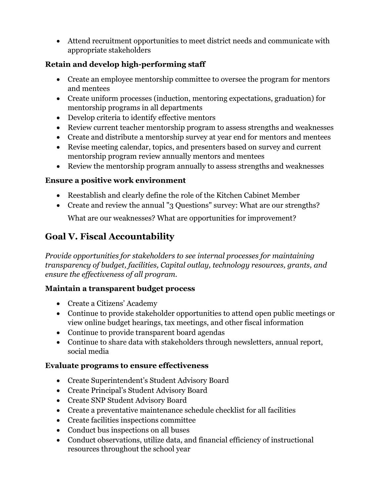Attend recruitment opportunities to meet district needs and communicate with appropriate stakeholders

## **Retain and develop high-performing staff**

- Create an employee mentorship committee to oversee the program for mentors and mentees
- Create uniform processes (induction, mentoring expectations, graduation) for mentorship programs in all departments
- Develop criteria to identify effective mentors
- Review current teacher mentorship program to assess strengths and weaknesses
- Create and distribute a mentorship survey at year end for mentors and mentees
- Revise meeting calendar, topics, and presenters based on survey and current mentorship program review annually mentors and mentees
- Review the mentorship program annually to assess strengths and weaknesses

## **Ensure a positive work environment**

- Reestablish and clearly define the role of the Kitchen Cabinet Member
- Create and review the annual "3 Questions" survey: What are our strengths?

What are our weaknesses? What are opportunities for improvement?

## **Goal V. Fiscal Accountability**

*Provide opportunities for stakeholders to see internal processes for maintaining transparency of budget, facilities, Capital outlay, technology resources, grants, and ensure the effectiveness of all program.* 

## **Maintain a transparent budget process**

- Create a Citizens' Academy
- Continue to provide stakeholder opportunities to attend open public meetings or view online budget hearings, tax meetings, and other fiscal information
- Continue to provide transparent board agendas
- Continue to share data with stakeholders through newsletters, annual report, social media

## **Evaluate programs to ensure effectiveness**

- Create Superintendent's Student Advisory Board
- Create Principal's Student Advisory Board
- Create SNP Student Advisory Board
- Create a preventative maintenance schedule checklist for all facilities
- Create facilities inspections committee
- Conduct bus inspections on all buses
- Conduct observations, utilize data, and financial efficiency of instructional resources throughout the school year